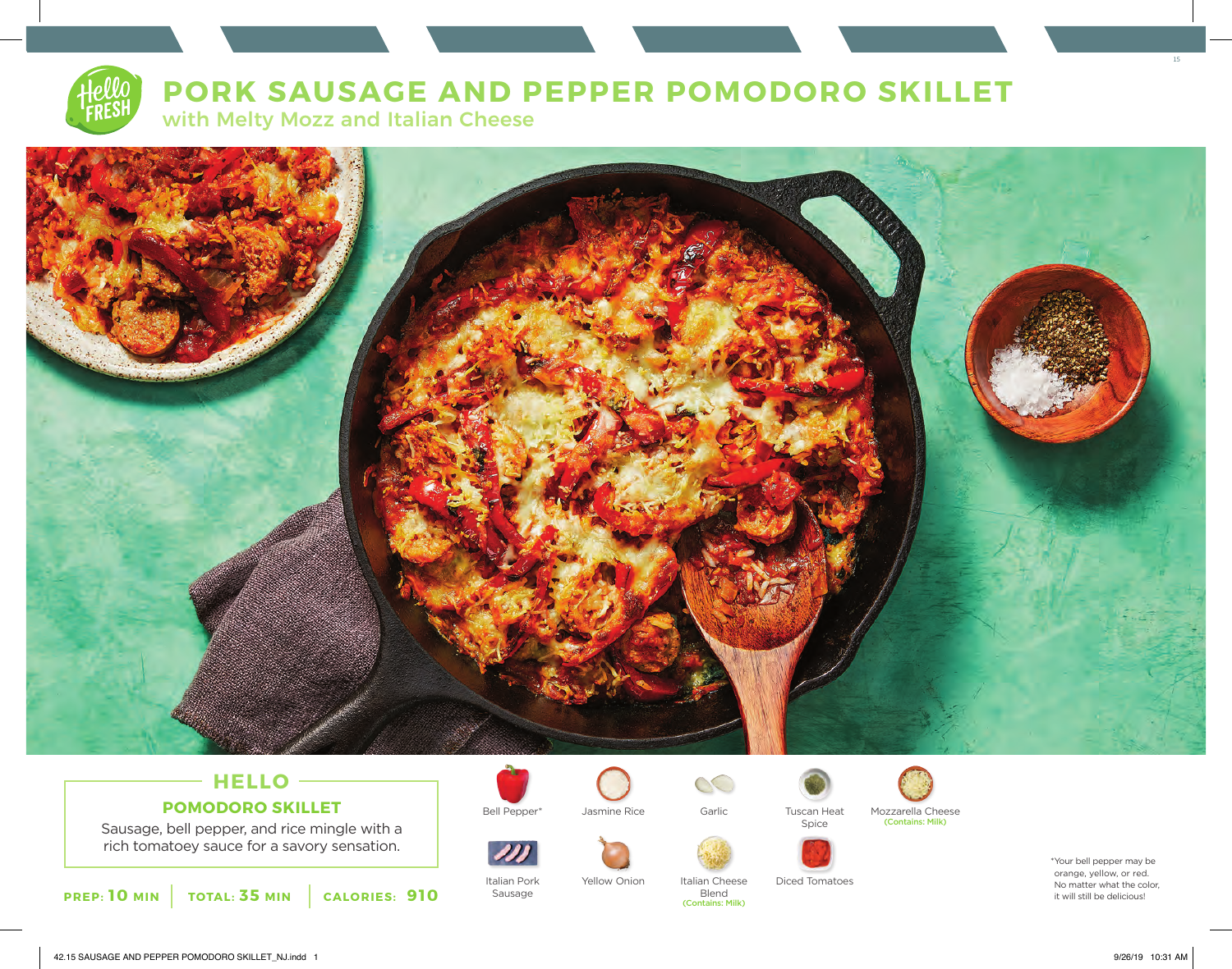# **PORK SAUSAGE AND PEPPER POMODORO SKILLET**

with Melty Mozz and Italian Cheese



# **HELLO POMODORO SKILLET**

Sausage, bell pepper, and rice mingle with a rich tomatoey sauce for a savory sensation.





Italian Pork Sausage

Bell Pepper\* Jasmine Rice Garlic Tuscan Heat Jasmine Rice

Yellow Onion



Blend (Contains: Milk)

 $\infty$ 



Italian Cheese Diced Tomatoes

Spice



\*Your bell pepper may be orange, yellow, or red. No matter what the color, it will still be delicious!

15